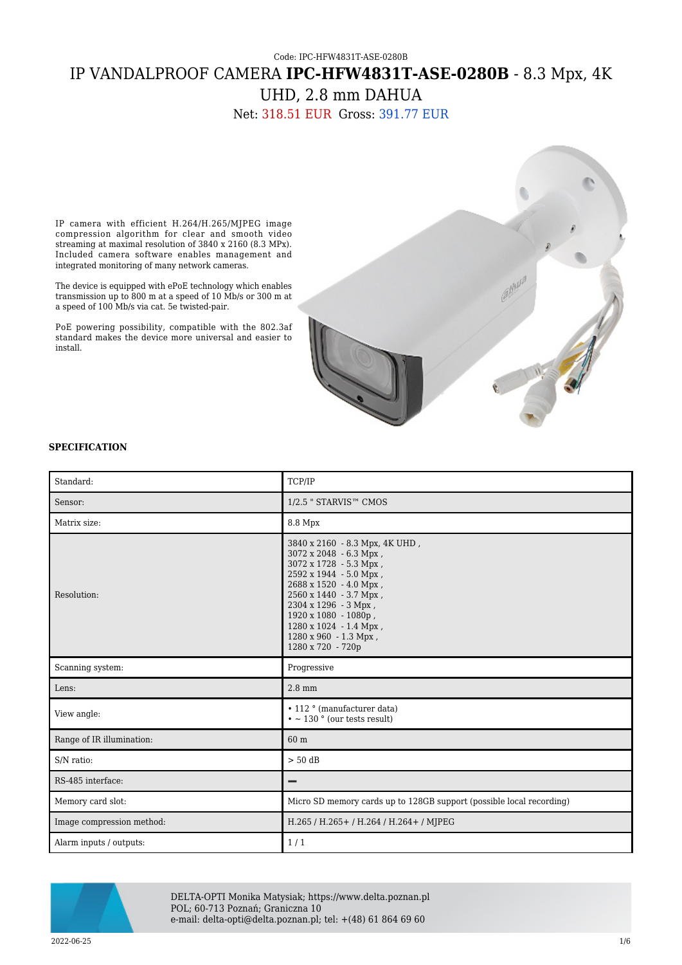# Code: IPC-HFW4831T-ASE-0280B IP VANDALPROOF CAMERA **IPC-HFW4831T-ASE-0280B** - 8.3 Mpx, 4K UHD, 2.8 mm DAHUA

Net: 318.51 EUR Gross: 391.77 EUR

IP camera with efficient H.264/H.265/MJPEG image compression algorithm for clear and smooth video streaming at maximal resolution of 3840 x 2160 (8.3 MPx). Included camera software enables management and integrated monitoring of many network cameras.

The device is equipped with ePoE technology which enables transmission up to 800 m at a speed of 10 Mb/s or 300 m at a speed of 100 Mb/s via cat. 5e twisted-pair.

PoE powering possibility, compatible with the 802.3af standard makes the device more universal and easier to install.



### **SPECIFICATION**

| Standard:                 | TCP/IP                                                                                                                                                                                                                                                                                   |  |
|---------------------------|------------------------------------------------------------------------------------------------------------------------------------------------------------------------------------------------------------------------------------------------------------------------------------------|--|
| Sensor:                   | $1/2.5$ " STARVIS <sup><math>m</math></sup> CMOS                                                                                                                                                                                                                                         |  |
| Matrix size:              | 8.8 Mpx                                                                                                                                                                                                                                                                                  |  |
| Resolution:               | 3840 x 2160 - 8.3 Mpx, 4K UHD,<br>3072 x 2048 - 6.3 Mpx,<br>3072 x 1728 - 5.3 Mpx,<br>2592 x 1944 - 5.0 Mpx,<br>2688 x 1520 - 4.0 Mpx,<br>2560 x 1440 - 3.7 Mpx,<br>2304 x 1296 - 3 Mpx,<br>1920 x 1080 - 1080p,<br>1280 x 1024 - 1.4 Mpx,<br>1280 x 960 - 1.3 Mpx,<br>1280 x 720 - 720p |  |
| Scanning system:          | Progressive                                                                                                                                                                                                                                                                              |  |
| Lens:                     | $2.8$ mm                                                                                                                                                                                                                                                                                 |  |
| View angle:               | • 112 ° (manufacturer data)<br>$\cdot$ ~ 130 $\circ$ (our tests result)                                                                                                                                                                                                                  |  |
| Range of IR illumination: | 60 m                                                                                                                                                                                                                                                                                     |  |
| S/N ratio:                | $> 50$ dB                                                                                                                                                                                                                                                                                |  |
| RS-485 interface:         | -                                                                                                                                                                                                                                                                                        |  |
| Memory card slot:         | Micro SD memory cards up to 128GB support (possible local recording)                                                                                                                                                                                                                     |  |
| Image compression method: | H.265 / H.265 + / H.264 / H.264 + / MJPEG                                                                                                                                                                                                                                                |  |
| Alarm inputs / outputs:   | 1/1                                                                                                                                                                                                                                                                                      |  |



DELTA-OPTI Monika Matysiak; https://www.delta.poznan.pl POL; 60-713 Poznań; Graniczna 10 e-mail: delta-opti@delta.poznan.pl; tel: +(48) 61 864 69 60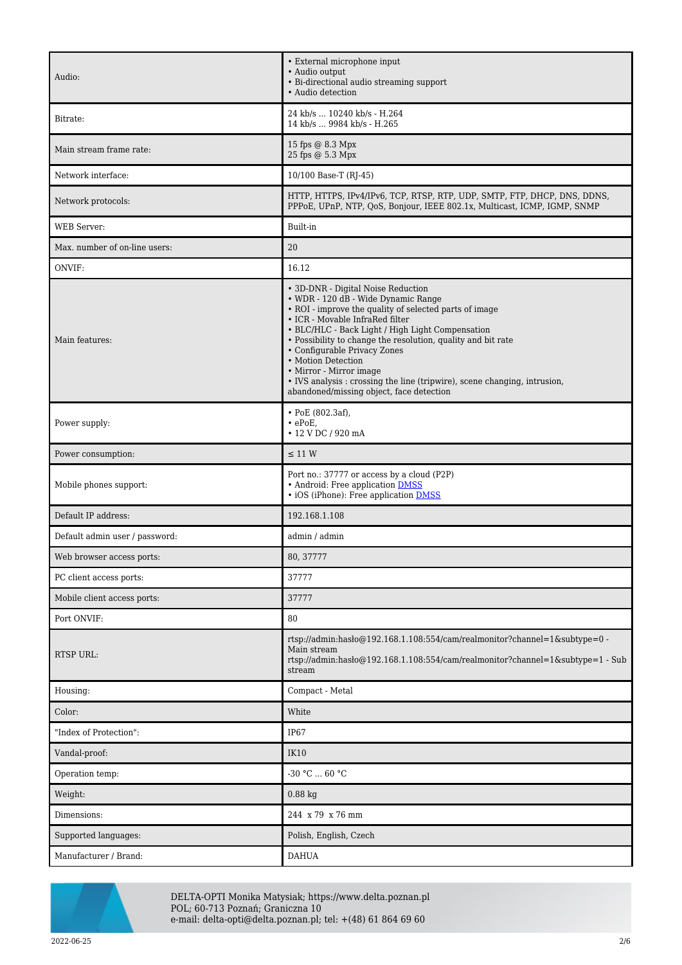| Audio:                         | • External microphone input<br>• Audio output<br>• Bi-directional audio streaming support<br>• Audio detection                                                                                                                                                                                                                                                                                                                                                                                       |  |
|--------------------------------|------------------------------------------------------------------------------------------------------------------------------------------------------------------------------------------------------------------------------------------------------------------------------------------------------------------------------------------------------------------------------------------------------------------------------------------------------------------------------------------------------|--|
| Bitrate:                       | 24 kb/s  10240 kb/s - H.264<br>14 kb/s  9984 kb/s - H.265                                                                                                                                                                                                                                                                                                                                                                                                                                            |  |
| Main stream frame rate:        | 15 fps @ 8.3 Mpx<br>25 fps @ 5.3 Mpx                                                                                                                                                                                                                                                                                                                                                                                                                                                                 |  |
| Network interface:             | 10/100 Base-T (RJ-45)                                                                                                                                                                                                                                                                                                                                                                                                                                                                                |  |
| Network protocols:             | HTTP, HTTPS, IPv4/IPv6, TCP, RTSP, RTP, UDP, SMTP, FTP, DHCP, DNS, DDNS,<br>PPPoE, UPnP, NTP, QoS, Bonjour, IEEE 802.1x, Multicast, ICMP, IGMP, SNMP                                                                                                                                                                                                                                                                                                                                                 |  |
| <b>WEB</b> Server:             | Built-in                                                                                                                                                                                                                                                                                                                                                                                                                                                                                             |  |
| Max. number of on-line users:  | 20                                                                                                                                                                                                                                                                                                                                                                                                                                                                                                   |  |
| ONVIF:                         | 16.12                                                                                                                                                                                                                                                                                                                                                                                                                                                                                                |  |
| Main features:                 | • 3D-DNR - Digital Noise Reduction<br>• WDR - 120 dB - Wide Dynamic Range<br>• ROI - improve the quality of selected parts of image<br>• ICR - Movable InfraRed filter<br>• BLC/HLC - Back Light / High Light Compensation<br>• Possibility to change the resolution, quality and bit rate<br>• Configurable Privacy Zones<br>• Motion Detection<br>• Mirror - Mirror image<br>• IVS analysis : crossing the line (tripwire), scene changing, intrusion,<br>abandoned/missing object, face detection |  |
| Power supply:                  | $\cdot$ PoE (802.3af),<br>$\cdot$ ePoE,<br>• 12 V DC / 920 mA                                                                                                                                                                                                                                                                                                                                                                                                                                        |  |
| Power consumption:             | $\leq$ 11 W                                                                                                                                                                                                                                                                                                                                                                                                                                                                                          |  |
| Mobile phones support:         | Port no.: 37777 or access by a cloud (P2P)<br>• Android: Free application DMSS<br>• iOS (iPhone): Free application <b>DMSS</b>                                                                                                                                                                                                                                                                                                                                                                       |  |
| Default IP address:            | 192.168.1.108                                                                                                                                                                                                                                                                                                                                                                                                                                                                                        |  |
| Default admin user / password: | admin / admin                                                                                                                                                                                                                                                                                                                                                                                                                                                                                        |  |
| Web browser access ports:      | 80, 37777                                                                                                                                                                                                                                                                                                                                                                                                                                                                                            |  |
| PC client access ports:        | 37777                                                                                                                                                                                                                                                                                                                                                                                                                                                                                                |  |
| Mobile client access ports:    | 37777                                                                                                                                                                                                                                                                                                                                                                                                                                                                                                |  |
| Port ONVIF:                    | 80                                                                                                                                                                                                                                                                                                                                                                                                                                                                                                   |  |
| <b>RTSP URL:</b>               | rtsp://admin:hasło@192.168.1.108:554/cam/realmonitor?channel=1&subtype=0 -<br>Main stream<br>rtsp://admin:hasło@192.168.1.108:554/cam/realmonitor?channel=1&subtype=1 - Sub<br>stream                                                                                                                                                                                                                                                                                                                |  |
| Housing:                       | Compact - Metal                                                                                                                                                                                                                                                                                                                                                                                                                                                                                      |  |
| Color:                         | White                                                                                                                                                                                                                                                                                                                                                                                                                                                                                                |  |
| "Index of Protection":         | IP67                                                                                                                                                                                                                                                                                                                                                                                                                                                                                                 |  |
| Vandal-proof:                  | IK10                                                                                                                                                                                                                                                                                                                                                                                                                                                                                                 |  |
| Operation temp:                | $-30 °C  60 °C$                                                                                                                                                                                                                                                                                                                                                                                                                                                                                      |  |
| Weight:                        | $0.88$ kg                                                                                                                                                                                                                                                                                                                                                                                                                                                                                            |  |
| Dimensions:                    | 244 x 79 x 76 mm                                                                                                                                                                                                                                                                                                                                                                                                                                                                                     |  |
| Supported languages:           | Polish, English, Czech                                                                                                                                                                                                                                                                                                                                                                                                                                                                               |  |
| Manufacturer / Brand:          | <b>DAHUA</b>                                                                                                                                                                                                                                                                                                                                                                                                                                                                                         |  |



DELTA-OPTI Monika Matysiak; https://www.delta.poznan.pl POL; 60-713 Poznań; Graniczna 10 e-mail: delta-opti@delta.poznan.pl; tel: +(48) 61 864 69 60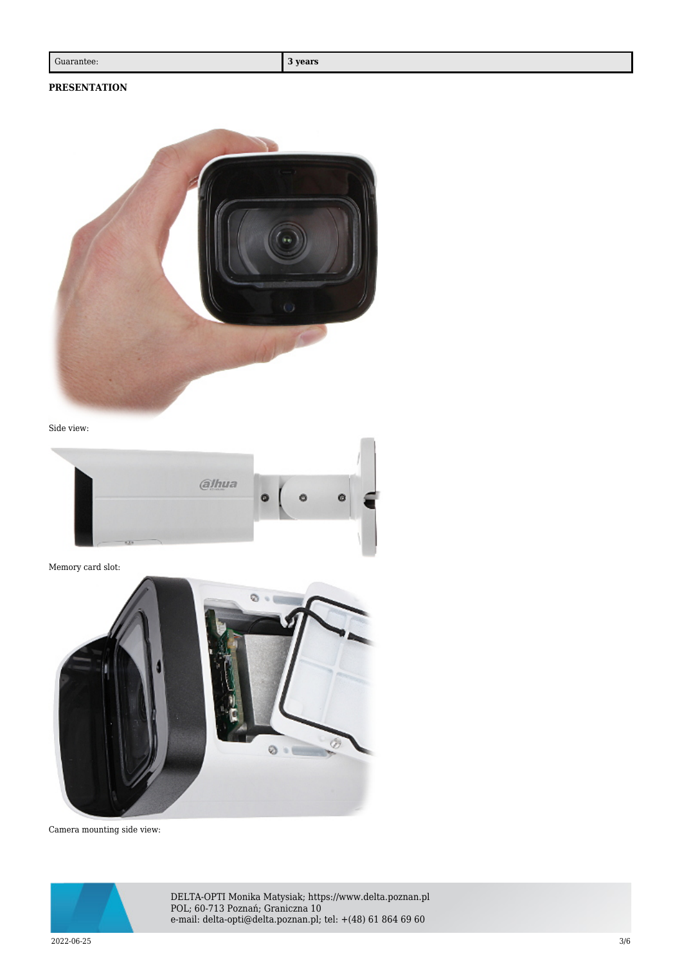# **PRESENTATION**



Side view:



Memory card slot:



Camera mounting side view:



DELTA-OPTI Monika Matysiak; https://www.delta.poznan.pl POL; 60-713 Poznań; Graniczna 10 e-mail: delta-opti@delta.poznan.pl; tel: +(48) 61 864 69 60

 $2022{\cdot}06{\cdot}25$   $3/6$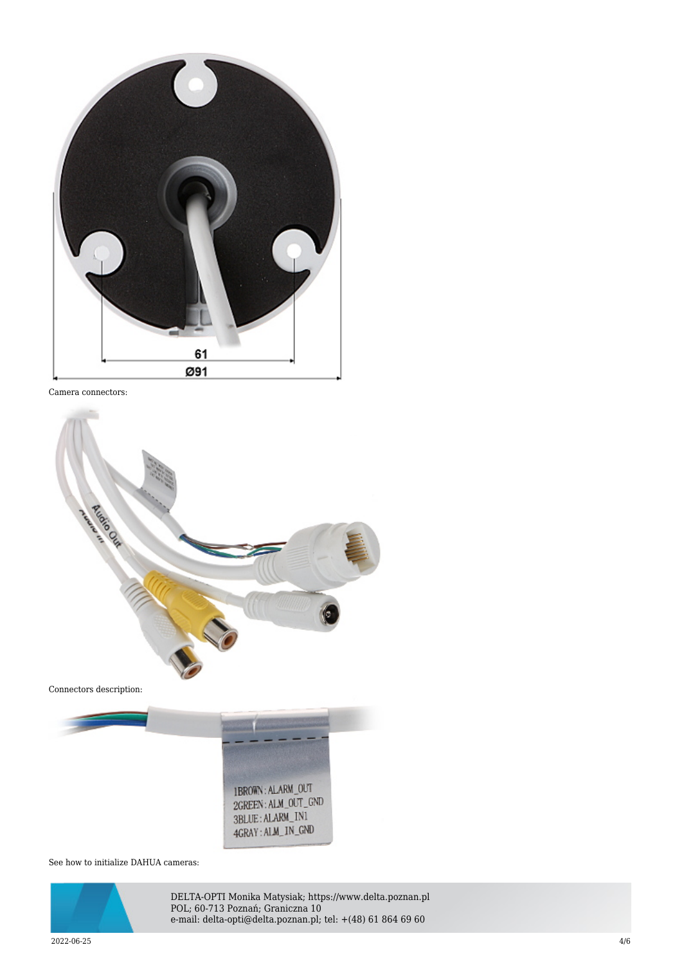

Camera connectors:



1BROWN: ALARM\_OUT 2GREEN: ALM\_OUT\_GND 3BLUE: ALARM\_IN1 4GRAY: ALM\_IN\_GND

See how to initialize DAHUA cameras:



DELTA-OPTI Monika Matysiak; https://www.delta.poznan.pl POL; 60-713 Poznań; Graniczna 10 e-mail: delta-opti@delta.poznan.pl; tel: +(48) 61 864 69 60

 $2022{\cdot}06{\cdot}25$  and  $4/6$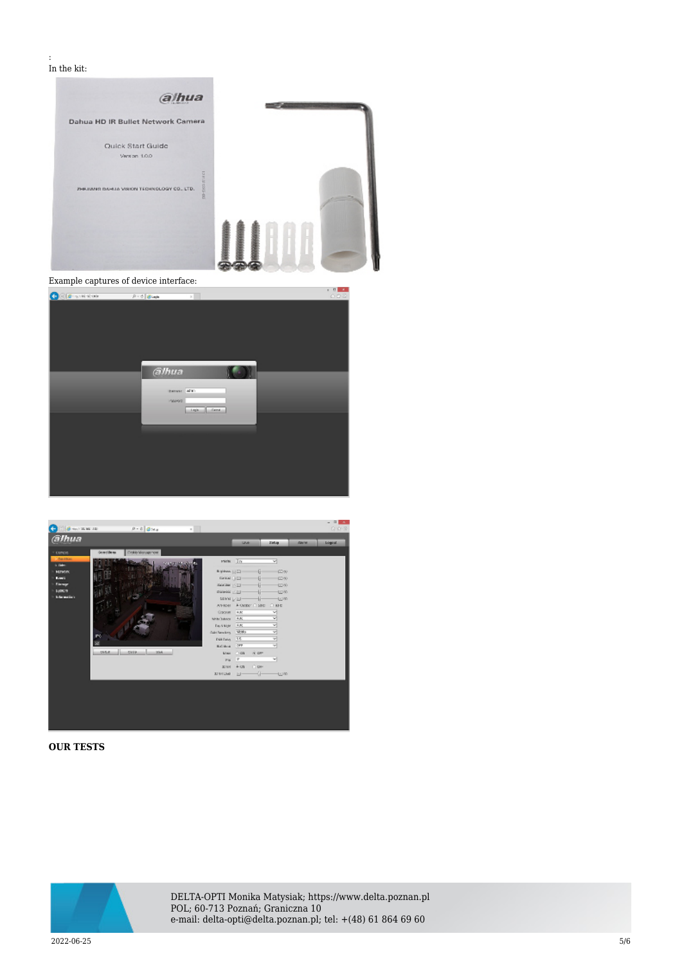#### : In the kit:



| alhua<br><b>Banase Man</b>                 |  |
|--------------------------------------------|--|
| PAINT<br><b>Carl And Co</b><br>$-1$ right. |  |
|                                            |  |
|                                            |  |



## **OUR TESTS**



DELTA-OPTI Monika Matysiak; https://www.delta.poznan.pl POL; 60-713 Poznań; Graniczna 10 e-mail: delta-opti@delta.poznan.pl; tel: +(48) 61 864 69 60

 $2022{\cdot}06{\cdot}25$   $5/6$